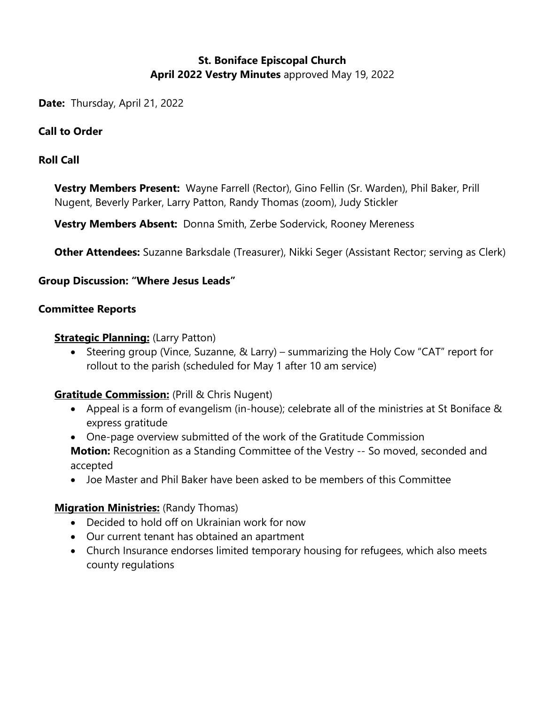# **St. Boniface Episcopal Church April 2022 Vestry Minutes** approved May 19, 2022

**Date:** Thursday, April 21, 2022

#### **Call to Order**

#### **Roll Call**

**Vestry Members Present:** Wayne Farrell (Rector), Gino Fellin (Sr. Warden), Phil Baker, Prill Nugent, Beverly Parker, Larry Patton, Randy Thomas (zoom), Judy Stickler

**Vestry Members Absent:** Donna Smith, Zerbe Sodervick, Rooney Mereness

**Other Attendees:** Suzanne Barksdale (Treasurer), Nikki Seger (Assistant Rector; serving as Clerk)

#### **Group Discussion: "Where Jesus Leads"**

#### **Committee Reports**

#### **Strategic Planning:** (Larry Patton)

• Steering group (Vince, Suzanne, & Larry) – summarizing the Holy Cow "CAT" report for rollout to the parish (scheduled for May 1 after 10 am service)

### **Gratitude Commission:** (Prill & Chris Nugent)

- Appeal is a form of evangelism (in-house); celebrate all of the ministries at St Boniface & express gratitude
- One-page overview submitted of the work of the Gratitude Commission **Motion:** Recognition as a Standing Committee of the Vestry -- So moved, seconded and accepted
- Joe Master and Phil Baker have been asked to be members of this Committee

### **Migration Ministries:** (Randy Thomas)

- Decided to hold off on Ukrainian work for now
- Our current tenant has obtained an apartment
- Church Insurance endorses limited temporary housing for refugees, which also meets county regulations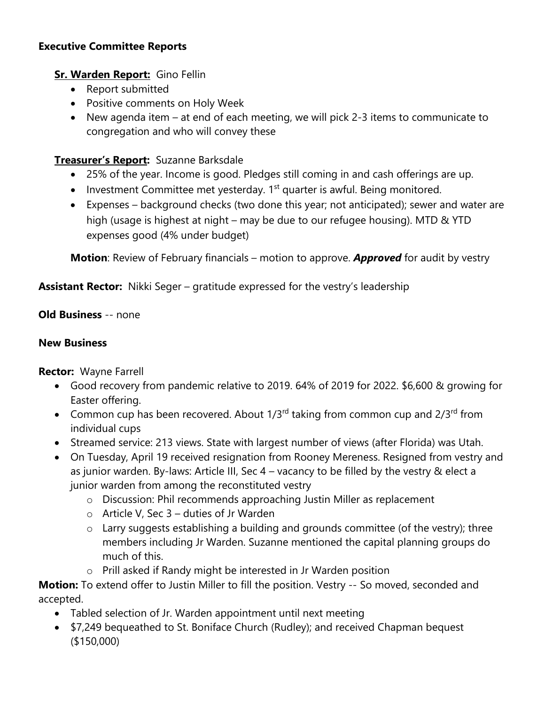## **Executive Committee Reports**

## **Sr. Warden Report:** Gino Fellin

- Report submitted
- Positive comments on Holy Week
- New agenda item at end of each meeting, we will pick 2-3 items to communicate to congregation and who will convey these

## **Treasurer's Report:** Suzanne Barksdale

- 25% of the year. Income is good. Pledges still coming in and cash offerings are up.
- Investment Committee met yesterday. 1<sup>st</sup> quarter is awful. Being monitored.
- Expenses background checks (two done this year; not anticipated); sewer and water are high (usage is highest at night – may be due to our refugee housing). MTD & YTD expenses good (4% under budget)

**Motion**: Review of February financials – motion to approve. *Approved* for audit by vestry

## **Assistant Rector:** Nikki Seger – gratitude expressed for the vestry's leadership

### **Old Business** -- none

### **New Business**

**Rector:** Wayne Farrell

- Good recovery from pandemic relative to 2019. 64% of 2019 for 2022. \$6,600 & growing for Easter offering.
- Common cup has been recovered. About  $1/3^{rd}$  taking from common cup and  $2/3^{rd}$  from individual cups
- Streamed service: 213 views. State with largest number of views (after Florida) was Utah.
- On Tuesday, April 19 received resignation from Rooney Mereness. Resigned from vestry and as junior warden. By-laws: Article III, Sec 4 – vacancy to be filled by the vestry & elect a junior warden from among the reconstituted vestry
	- o Discussion: Phil recommends approaching Justin Miller as replacement
	- $\circ$  Article V, Sec 3 duties of Jr Warden
	- o Larry suggests establishing a building and grounds committee (of the vestry); three members including Jr Warden. Suzanne mentioned the capital planning groups do much of this.
	- o Prill asked if Randy might be interested in Jr Warden position

**Motion:** To extend offer to Justin Miller to fill the position. Vestry -- So moved, seconded and accepted.

- Tabled selection of Jr. Warden appointment until next meeting
- \$7,249 bequeathed to St. Boniface Church (Rudley); and received Chapman bequest (\$150,000)